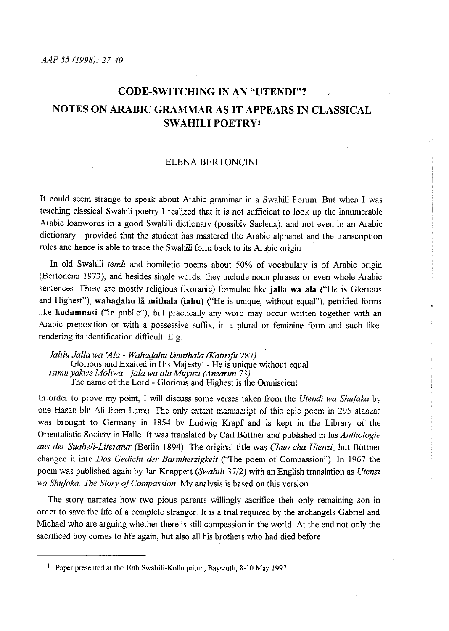# **CODE-SWITCHING IN AN "UTENDI"? NOTES ON ARABIC GRAMMAR AS IT APPEARS IN CLASSICAL SWAHILI POETRYt**

#### ELENA BERTONCINI

It could seem strange to speak about Arabic grammar in a Swahili Forum But when I was teaching classical Swahili poetry I realized that it is not sufficient to look up the innumerable Arabic loanwords in a good Swahili dictionary (possibly Sacleux), and not even in an Arabic dictionary - provided that the student has mastered the Arabic alphabet and the transcription rules and hence is able to trace the Swahili form back to its Arabic origin

In old Swahili *tendi* and homiletic poems about 50% of vocabulary is of Arabic origin (Bertoncini 1973), and besides single words, they include noun phrases or even whole Arabic sentences These are mostly religious (Koranic) formulae like **jalla wa ala** ("He is Glorious and Highest"), wahadahu lā mithala (lahu) ("He is unique, without equal"), petrified forms like **kadamnasi** ("in public"), but practically any word may occur written together with an **Arabic preposition or with a possessive suffix, in a plural or feminine form and such like,**  rendering its identification difficult E g

*Jalilu Jalla wa 'Ala* - *Waha@hu liimithala (Katirifu* 287) Glorious and Exalted in His Majesty! - He is unique without equal *isimu yakwe Moliwa -jala wa ala Muyuzi (Anzarun* 73) The name of the Lord - Glorious and Highest is the Omniscient

In order to prove my point, I will discuss some verses taken from the *Utendi wa Shujaka* by one Hasan bin Ali from Lamu *The* only extant manuscript of this epic poem in 295 stanzas was brought to Germany in 1854 by Ludwig Krapf and is kept in the Library of the Orientalistic Society in Halle It was translated by Carl Büttner and published in his *Anthologie aus de1 Suaheli-Literatur* (Berlin 1894) The original title was *Chuo cha Utenzi,* but Btittner changed it into *Das Gedicht der Barmherzigkeit* ("The poem of Compassion") In 1967 the poem was published again by Jan Knappert *(Swahili* 37/2) with an English translation as *Utenzi wa Shujaka. Ihe Story of Compassion* My analysis is based on this version

The story narrates how two pious parents willingly sacrifice their only remaining son in order to save the life of a complete stranger It is a trial required by the archangels Gabriel and Michael who are arguing whether there is still compassion in the world. At the end not only the sacrificed boy comes to life again, but also all his brothers who had died before

<sup>&</sup>lt;sup>1</sup> Paper presented at the 10th Swahili-Kolloquium, Bayreuth, 8-10 May 1997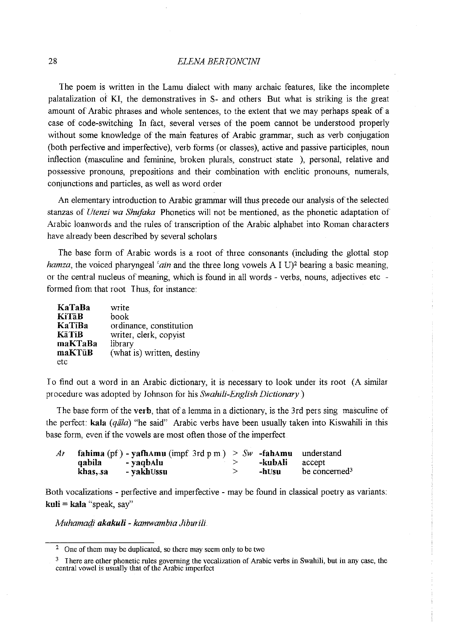# 28 *ELENA BERIVNCINI*

The poem is written in the Lamu dialect with many archaic features, like the incomplete palatalization of Kl, the demonstratives in S- and others But what is striking is the great amount of Arabic phrases and whole sentences, to the extent that we may perhaps speak of a case of code-switching In fact, several verses of the poem cannot be understood properly without some knowledge of the main features of Arabic grammar, such as verb conjugation (both perfective and imperfective), verb forms (or classes), active and passive participles, noun inflection (masculine and feminine, broken plurals, construct state ), personal, relative and possessive pronouns, prepositions and their combination with enclitic pronouns, numerals, conjunctions and particles, as well as word order

An elementary introduction to Arabic grammar will thus precede our analysis of the selected stanzas of *Utenzi wa Shujaka* Phonetics will not be mentioned, as the phonetic adaptation of Arabic loanwords and the rules of transcription of the Arabic alphabet into Roman characters have already been described by several scholars

The base form of Arabic words is a root of three consonants (including the glottal stop *hamza*, the voiced pharyngeal *'ain* and the three long vowels A I U)<sup>2</sup> bearing a basic meaning, or the central nucleus of meaning, which is found in all words - verbs, nouns, adjectives etc formed from that root Thus, for instance:

| KaTaBa       | write                      |
|--------------|----------------------------|
| <b>KiTaB</b> | book                       |
| KaTīBa       | ordinance, constitution    |
| <b>KäTiB</b> | writer, clerk, copyist     |
| maKTaBa      | library                    |
| maKTūB       | (what is) written, destiny |
| etc          |                            |

I o find out a word in an Arabic dictionary, it is necessary to look under its root (A similar procedure was adopted by Johnson for his *Swahili-English Dictionary)* 

The base form of the verb, that of a lemma in a dictionary, is the 3rd pers sing masculine of the perfect: **kala** *(qiila)* "he said" Arabic verbs have been usually taken into Kiswahili in this base form, even if the vowels are most often those of the imperfect

| Ar |          | fahima (pf) - yafhamu (impf. 3rd p m.) $> Sw$ -fahamu understand |         |                           |
|----|----------|------------------------------------------------------------------|---------|---------------------------|
|    | qabila   | - yaqbAlu                                                        | -kubAli | accept                    |
|    | khas, sa | - vakhUssu                                                       | -hUsu   | be concerned <sup>3</sup> |

Both vocalizations - perfective and imperfective - may be found in classical poetry as variants: **kuli = kala** "speak, say"

*Muhamagi akakuli* - *kamwambia Jiburili* 

<sup>2</sup> One of them may be duplicated, so there may seem only to be two

<sup>3</sup> I here are other phonetic rnles governing the vocalization of Arabic verbs in Swahili, but in any case, the central vowel is usually that of the Arabic imperfect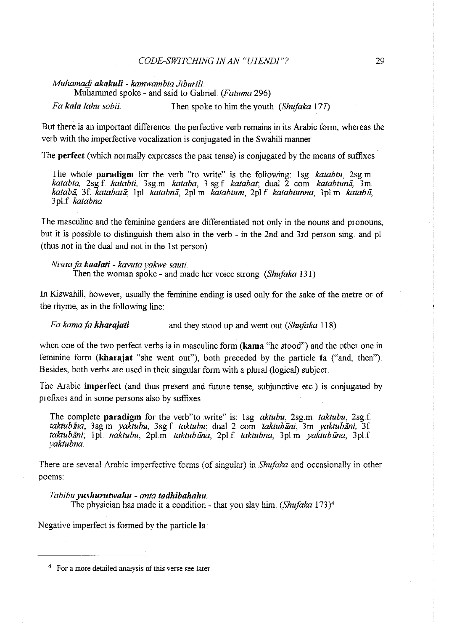#### *CODE-SWITCHING IN AN "UIENDJ"?* 29

#### *Muhamafii akakuli- kamwambia Jiburili*

Muhammed spoke - and said to Gabriel *(Fatuma* 296)

*Fa kala lahu sobii.* I hen spoke to him the youth *(Shufaka* 177)

But there is an important difference: the perfective verb remains in its Arabic form, whereas the verb with the imperfective vocalization is conjugated in the Swahili manner

The perfect (which normally expresses the past tense) is conjugated by the means of suffixes

I he whole paradigm for the verb "to write" is the following: 1 sg. *katabtu,* 2sg. m *katabta,* 2sg f *katabti,* 3sg.m *kataba,* 3 sgf *katabat;* dual 2 corn *katabtunii,* 3m *katabii,* 3f. *katabatii;* 1pi *katabnii,* 2pl.m *katabtum,* 2pl.f *katabtunna,* 3pi m *katabii,*  3pl f *katabna* 

I he masculine and the feminine genders are differentiated not only in the nouns and pronouns, but it is possible to distinguish them also in the verb - in the 2nd and 3rd person sing and pi (thus not in the dual and not in the 1st person)

*Nisaaja kaalati- kavuta yakwe sauti.*  Then the woman spoke - and made her voice strong *(Shufaka* 131)

In Kiswahili, however, usually the feminine ending is used only for the sake of the metre or of the rhyme, as in the following line:

*Fa karnafG kharajati'* and they stood up and went out *(Shufaka* 118)

when one of the two perfect verbs is in masculine form  $(kama'$  "he stood") and the other one in feminine form (kharajat "she went out"), both preceded by the particle fa ("and, then"). Besides, both verbs are used in their singular form with a plural (logical) subject

I he Arabic imperfect (and thus present and future tense, subjunctive etc) is conjugated by prefixes and in some persons also by suffixes

The complete pamdigm for the verb"to write" is: 1sg *aktubu,* 2sg.m *taktubu,* 2sg.f *taktubina,* 3sg m *yaktubu,* 3sg f *taktubu;* dual 2 corn *taktubiini,* 3m *yaktubiini,* 3f *taktubiini;* 1pl *naktubu,* 2pi.m *taktubiina,* 2pi f *taktubna,* 3pl m *yaktubiina,* 3pl.f *yaktubna.* 

There are several Arabic imperfective forms (of singular) in *Shufaka* and occasionally in other poems:

#### *Jabibu yushurutwahu- anta tadhibahahu*

The physician has made it a condition -that you slay him *(Shujaka* 173)4

Negative imperfect is formed by the particle la:

<sup>4</sup> For a more detailed analysis of this verse see later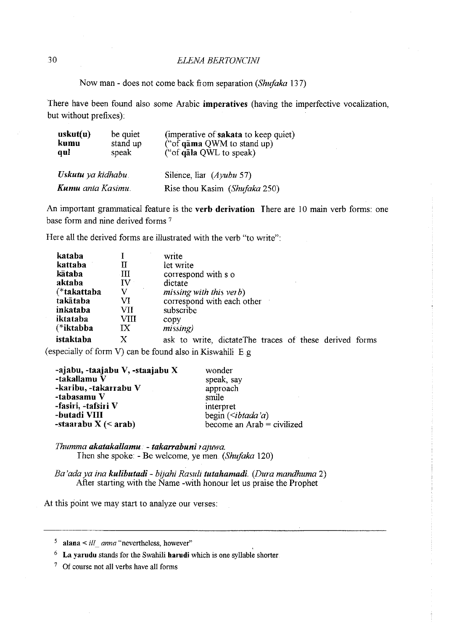# 30 *ELENA BERTONCINI*

Now man- does not come back from separation *(Shufaka* 137)

There have been found also some Arabic **imperatives** (having the imperfective vocalization, but without prefixes):

| uskut(u)<br>kumu<br>qul  | be quiet<br>stand up<br>speak | (imperative of sakata to keep quiet)<br>("of $q\bar{a}$ ma QWM to stand up)<br>("of gala QWL to speak) |  |  |
|--------------------------|-------------------------------|--------------------------------------------------------------------------------------------------------|--|--|
| Uskutu ya kidhabu        |                               | Silence, $\text{liar}$ ( <i>Ayubu</i> 57)                                                              |  |  |
| <b>Kumu</b> anta Kasimu. |                               | Rise thou Kasim (Shufaka 250)                                                                          |  |  |

An important grammatical feature is the **verb derivation** There are 10 main verb forms: one base form and nine derived forms 7

Here all the derived forms are illustrated with the verb "to write":

| kataba      |              | write                                                   |  |  |  |  |  |  |
|-------------|--------------|---------------------------------------------------------|--|--|--|--|--|--|
| kattaba     | п            | let write                                               |  |  |  |  |  |  |
| kātaba      | ÆЦ           | correspond with s o                                     |  |  |  |  |  |  |
| aktaba      | ${\bf IV}^+$ | dictate                                                 |  |  |  |  |  |  |
| (*takattaba | V            | missing with this ver $b$ )                             |  |  |  |  |  |  |
| takātaba    | VI           | correspond with each other                              |  |  |  |  |  |  |
| inkataba    | VII          | subscribe                                               |  |  |  |  |  |  |
| iktataba    | VIII         | copy                                                    |  |  |  |  |  |  |
| (*iktabba   | IX           | missing)                                                |  |  |  |  |  |  |
| istaktaba   | X            | ask to write, dictate The traces of these derived forms |  |  |  |  |  |  |

(especially of form V) can be found also in Kiswahili E.g

| -ajabu, -taajabu V, -staajabu X | wonder                                   |
|---------------------------------|------------------------------------------|
| -takallamu V                    | speak, say                               |
| -karibu, -takarrabu V           | approach                                 |
| -tabasamu V                     | smile                                    |
| -fasiri, -tafsiri V             | interpret                                |
| -butadi VIII                    | begin $(\forall \theta \, d\alpha \, a)$ |
| -staarabu $X \leq a$ rab)       | become an $Arab =$ civilized             |

*Thumma akatakallamu.* **-** *takarrabuni ra;uwa.*  Then she spoke: -Be welcome, ye men *(Shufaka* 120)

*Ea 'ada ya ina kulibutadi- bijahi Rasuli tutahamadi .. (Dura mandhuma* 2) After starting with the Name -with honour let us praise the Prophet

At this point we may start to analyze our verses:

5 **alana** < *ill\_ anna* "nevertheless, however"

<sup>6</sup>**La yarudu** stands for the Swahili **harudi** which is one syllable shorter

7 Of course not all verbs have all forms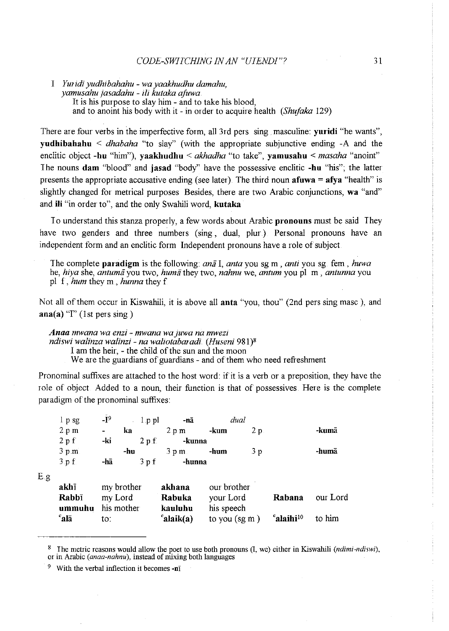I *Yw idi yudhibahahu* - *wa yaakhudhu damahu, yamusahu jasadahu* - *ili kutaka ajuwa.*  It is his purpose to slay him - and to take his blood, and to anoint his body with it - in order to acquire health *(Shujaka* 129)

There are four verbs in the imperfective form, all 3rd pers sing. masculine: **yuridi** "he wants", **yudhibahahu** < *dhabaha* "to slay" (with the appropriate subjunctive ending -A and the enclitic object **-hu** "him"), **yaakhudhu** < *akhadha* "to take", **yamusahu** < *masaha* "anoint" The nouns **dam** "blood" and **jasad** "body" have the possessive enclitic **-hu** "his"; the latter presents the appropriate accusative ending (see later). The third noun  $afuwa = afya$  "health" is slightly changed for metrical purposes Besides, there are two Arabic conjunctions, **wa** "and" and **ili** "in order to", and the only Swahili word, **kutaka** 

Io understand this stanza properly, a few words about Arabic **pronouns** must be said They have two genders and three numbers (sing, dual, plur.) Personal pronouns have an independent form and an enclitic form Independent pronouns have a role of subject

The complete **pamdigm** is the following: *ana* I, *anta* you sg m , *anti* you sg fern , *huwa*  he, *hiya* she, *antumii* you two, *hum a* they two, *nahnu* we, *antum* you pi m , *antunna* you pi f, *hum* they m , *hunna* they f

Not all of them occur in Kiswahili, it is above all **anta** "you, thou" (2nd pers sing masc ), and  $\mathbf{ana}(\mathbf{a})$  "I" (1st pers sing.)

*Anaa mwana wa enzi* - *mwana wa juwa na mwezi ndiswi walinza walinzi- na waliotabaradi (Huseni* 981 )8 I am the heir, - the child of the sun and the moon We are the guardians of guardians - and of them who need refreshment

Pronominal suffixes are attached to the host word: if it is a verb or a preposition, they have the role of object Added to a noun, their function is that of possessives Here is the complete paradigm of the pronominal suffixes:

|   | $1p$ sg         | $-I9$          | Ù.         | $1$ p pl         | -nā       |                    | dual           |                                  |          |
|---|-----------------|----------------|------------|------------------|-----------|--------------------|----------------|----------------------------------|----------|
|   | 2.p m           | $\blacksquare$ | ka         |                  | $2$ p $m$ | -kum               | 2p             |                                  | -kumā    |
|   | 2.p.f.          | -ki            |            | $2 \text{ p.f.}$ | -kunna    |                    |                |                                  |          |
|   | $3$ p.m.        |                | -hu        |                  | $3$ p.m.  | -hum               | 3 <sub>p</sub> |                                  | -humā    |
|   | $3$ p $f$ .     | $-h\bar{a}$    |            | $3$ p f          | -hunna    |                    |                |                                  |          |
| g |                 |                |            |                  |           |                    |                |                                  |          |
|   | akhī            |                | my brother |                  | akhana    | our brother        |                |                                  |          |
|   | <b>Rabbī</b>    |                | my Lord    |                  | Rabuka    | your Lord          |                | Rabana                           | our Lord |
|   | ummuhu          |                | his mother |                  | kauluhu   | his speech         |                |                                  |          |
|   | $\mathbf{a}$ la | to:            |            |                  | 'alaik(a) | to you $(sg \, m)$ |                | c <sub>alaihi<sup>10</sup></sub> | to him   |

<sup>&</sup>lt;sup>8</sup> The metric reasons would allow the poet to use both pronouns (I, we) either in Kiswahili *(ndimi-ndiswi)*, or in Arabic *(anaa-nahnu),* instead of mixing both languages

 $E$ 

<sup>&</sup>lt;sup>9</sup> With the verbal inflection it becomes -nī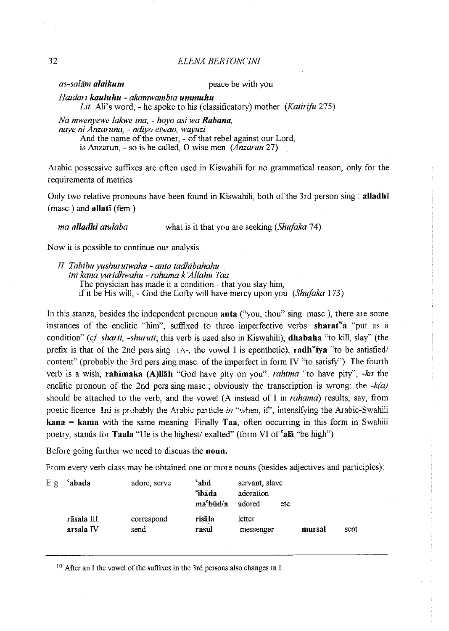32 *ELENA BERIONCINI* 

*as-salam alaikum peace be with you* **peace be with you** 

*Haidmi kauluhu* - *akamwambia ummuhu* 

*Lit.* Ali's word,- he spoke to his (classificatory) mother *(Katirifo* 275)

*Na mwenyewe lakwe ina,* - *hoyo asi wa Rabana, naye ni Anzaruna,* - *ndiyo etwao, wayuzi*  And the name of the owner, - of that rebel against our Lord, is Anzarun, - so is he called, 0 wise men *(Anzmun* 27)

Arabic possessive suffixes are often used in Kiswahili for no grammatical reason, only for the requirements of metrics.

Only two relative pronouns have been found in Kiswahili, both of the 3rd person sing : alladh $\overline{\mathbf{i}}$  $(masc)$  and allati (fem)

*ma alladhi atulaba* what is it that you are seeking *(Shufaka* 74)

Now it is possible to continue our analysis

I!. *Tabibu yushurutwahu- anta tadhibahahu inz kana yuridhwahu- rahama k'Allahu Taa* 

The physician has made it a condition - that you slay him,

if it be His will,- God the Lofty will have mercy upon you *(Shufaka* 173)

In this stanza, besides the independent pronoun **anta** ("you, thou" sing masc), there are some instances of the enclitic "him", suffixed to three imperfective verbs: sharat a "put as a condition" (cf sharti, -shuruti; this verb is used also in Kiswahili), **dhabaha** "to kill, slay" (the prefix is that of the 2nd pers sing  $IA$ -, the vowel I is epenthetic), radh<sup>w</sup>iva "to be satisfied/ content" (probably the 3rd pers sing masc of the imperfect in form IV "to satisfy"). The fourth verb is a wish, mhimaka (A)Ilah "God have pity on you": *rahima* "to have pity", *-ka* the enclitic pronoun of the 2nd pers sing masc.; obviously the transcription is wrong: the  $-k(a)$ should be attached to the verb, and the vowel (A instead of I in *rahama)* results, say, from poetic licence. Ini is probably the Arabic particle in "when, if", intensifying the Arabic-Swahili  $\textbf{kana} = \textbf{kama}$  with the same meaning Finally Taa, often occurring in this form in Swahili poetry, stands for **Taala** "He is the highest/ exalted" (form VI of  $^{\circ}$ ala "be high").

Before going further we need to discuss the noun.

From every verb class may be obtained one or more nouns (besides adjectives and participles):

| E.g. | abada                   | adore, serve       | 'abd<br><i>ib</i> āda<br>ma <sup>c</sup> būd/a | servant, slave<br>adoration<br>adored | etc |        |      |
|------|-------------------------|--------------------|------------------------------------------------|---------------------------------------|-----|--------|------|
|      | rāsala III<br>arsala IV | correspond<br>send | risāla<br>rasūl                                | letter<br>messenger                   |     | mursal | sent |

<sup>10</sup> After an I the vowel of the suffixes in the 3rd persons also changes in I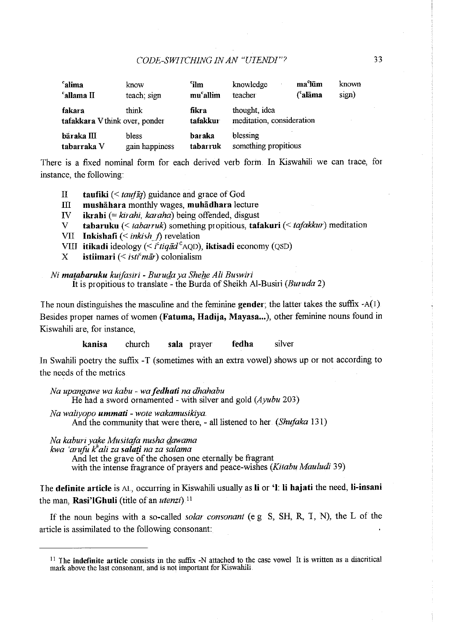# *CODE-SWITCHING IN AN "UIENDJ"?* 33

| <sup>c</sup> alima<br><sup>c</sup> allama II      | know<br>teach; sign     | <i>c</i> ilm<br>mu <sup>c</sup> allim | knowledge<br>teacher                       | ma <sup>c</sup> lūm<br>(°alāma | known<br>sign) |
|---------------------------------------------------|-------------------------|---------------------------------------|--------------------------------------------|--------------------------------|----------------|
| think<br>fakara<br>tafakkara V think over, ponder |                         | fikra<br>tafakkur                     | thought, idea<br>meditation, consideration |                                |                |
| bāraka III<br>tabarraka V                         | bless<br>gain happiness | baraka<br>tabarruk                    | blessing<br>something propitious           |                                |                |

There is a fixed nominal form for each derived verb form In Kiswahili we can trace, for instance, the following:

II taufiki ( < *taujiq)* guidance and grace of God

III mushāhara monthly wages, muhādhara lecture

IV ikrahi (= *kirahi, karaha)* being offended, disgust

- V tabaruku (< *tabarruk*) something propitious, tafakuri (< *tafakkur*) meditation
- VII **Inkishafi** (< *inkish f*) revelation
- VIII itikadi ideology ( $\leq i^c$ tiqād<sup>c</sup>AQD), iktisadi economy (QSD)
- X istiimari ( $\leq$ *isti<sup>c</sup>mār*) colonialism

*Ni ma[abaruku kuifasiri* - *Burufia ya She he Ali Buswiri*  It is propitious to translate - the Burda of Sheikh Al-Busiri *(Buruda* 2)

The noun distinguishes the masculine and the feminine gender; the latter takes the suffix  $-A(1)$ . Besides proper names of women (Fatuma, Hadija, Mayasa...), other feminine nouns found in Kiswahili are, for instance,

kanisa church sala prayer fedha silver

In Swahili poetry the suffix -T (sometimes with an extra vowel) shows up or not according to the needs of the metrics

*Na upangawe wa kabu* - *wa fedhati na dhahabu* 

He had a sword ornamented - with silver and gold *(Ayubu* 203)

*Na waliyopo ummati* - *wote wakamusikiya.* 

And the community that were there, - all listened to her *(Shufaka* 131)

*Na kaburi yake Musitafa nusha fiawama* 

*kwa 'arufu fiali za sala(.i na za salama* 

And let the grave of the chosen one eternally be fragrant

with the intense fragrance of prayers and peace-wishes *(Kitabu Mauludi* 39)

The definite article is AL, occurring in Kiswahili usually as li or '1: li hajati the need, li-insani the man, Rasi'IGhuli (title of an *utenzi)* <sup>11</sup>

If the noun begins with a so-called *solar consonant* (e g S, SH, R, T, N), the L of the article is assimilated to the following consonant:

 $11$  The indefinite article consists in the suffix -N attached to the case vowel It is written as a diacritical mark above the last consonant, and is not important for Kiswahili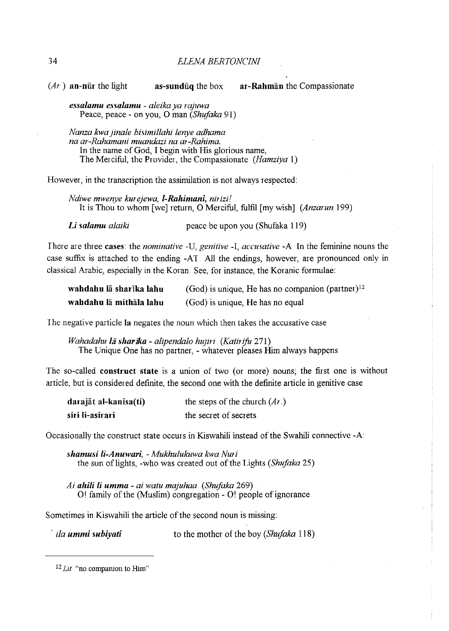34 *ELENA BERTONCINI* 

 $(Ar)$  an-nut the light as-sunduq the box ar-Rahman the Compassionate

*essalamu essalamu* - *aleika ya rajuwa*  Peace, peace- on you, 0 man *(Shujaka* 91)

*Nanza kwajinale bisimillahi lenye adhama na ar-Rahamani muandazi na ar-Rahima.*  In the name of God, I begin with His glorious name, The Merciful, the Provider, the Compassionate *(Hamziya* I)

However, in the transcription the assimilation is not always respected:

*Ndiwe mwenye kurejewa, 1-Rahimani, nirizi!* It is Thou to whom [we] return, 0 Merciful, fulfil [my wish] *(Anzarun* 199)

*Li salamu alaiki* peace be upon you (Shufaka 119)

There are three cases: the *nominative* -U, *genitive* -I, *accusative* -A In the feminine nouns the case suffix is attached to the ending -AT All the endings, however, are pronounced only in classical Arabic, especially in the Koran See, for instance, the Koranic formulae:

| wahdahu lä sharīka lahu | (God) is unique, He has no companion (partner) $^{12}$ |
|-------------------------|--------------------------------------------------------|
| wahdahu lā mithāla lahu | (God) is unique, He has no equal                       |

The negative particle **la** negates the noun which then takes the accusative case

*Wahadahu lii sharika- alipendalo hujln (Katirifu* 271) The Unique One has no partner, - whatever pleases Him always happens

The so-called construct state is a union of two (or more) nouns; the first one is without article, but is considered definite, the second one with the definite article in genitive case

| darajāt al-kanīsa(ti) | the steps of the church $(Ar)$ |
|-----------------------|--------------------------------|
| siri li-asirari       | the secret of secrets          |

Occasionally the construct state occurs in Kiswahili instead of the Swahili connective -A:

*shamusi li-Anuwari,* - *Mukhulukuwa kwa Nur* i the sun of lights, -who was created out of the Lights *(Shujaka* 25)

*Ai ahili li umma- ai watu majuhaa (Shujaka* 269) 01 family of the (Muslim) congregation- 0! people of ignorance

Sometimes in Kiswahili the article of the second noun is missing:

<sup>'</sup> *ila ummi subiyati* **to the mother of the boy** *(Shufaka* **118)** 

<sup>&</sup>lt;sup>12</sup> *Lit* "no companion to Him"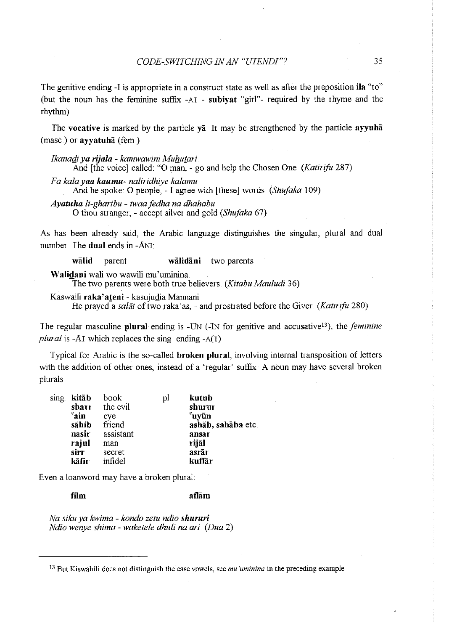The genitive ending -I is appropriate in a construct state as well as after the preposition **ita** "to" (but the noun has the feminine suffix -AI - **subiyat** "girl"- required by the rhyme and the rhythm)

*The* **vocative** is marked by the particle ya It may be strengthened by the particle **ayyuha**  (mast) or **ayyatuha** (fern)

*Ikanaqi ya rijala- kamwawini Muflutari*  And [the voice] called: "0 man,- go and help the Chosen One *(Katirifu* 287) *Fa kalayaa kaumu- naliridhiye kalamu*  And he spoke: 0 people,- I agree with [these] words *(Shufaka* 109)

*Ayatuha li-gharibu- twaafedha na dhahabu*  0 thou stranger, - accept silver and gold *(Shufaka* 6 7)

As has been already said, the Arabic language distinguishes the singular, plural and dual number The **dual** ends in -ANI:

**walid** parent **walidani** two parents

**Walidani** wali wo wawili mu'uminina. -The two parents were both true believers *(Kitabu Mauludi* 36)

Kaswalli raka'ateni - kasujudia Mannani

He prayed a *saliit* of two raka'as,- and prostrated before the Giver *(Katirifu* 280)

The regular masculine **plural** ending is -UN ( -1N for genitive and accusativel3), the *feminine plural* is -A<sub>I</sub> which replaces the sing ending  $-A(1)$ 

1 ypical for Arabic is the so-called **broken plural,** involving internal transposition of letters with the addition of other ones, instead of a 'regular' suffix A noun may have several broken plurals

| sing kitāb     | book      | рI | kutub              |
|----------------|-----------|----|--------------------|
| sharr          | the evil  |    | shurūr             |
| $\epsilon$ ain | eye       |    | $\epsilon$ uyūn    |
| sāhib          | friend    |    | ashāb, sahāba etc. |
| nāsir          | assistant |    | ansār              |
| rajul          | man       |    | rijāl              |
| sirr           | secret    |    | asrār              |
| kāfir-         | infidel   |    | kuffār             |
|                |           |    |                    |

Even a loanword may have a broken plural:

#### **film aflam**

*Na siku ya kwima* - *kondo zetu ndio shururi Ndio wenye shima- waketele dhuli na ari (Dua* 2)

<sup>13</sup>But Kiswahili does not distinguish the case vowels, see *mu 'ummina* in the preceding example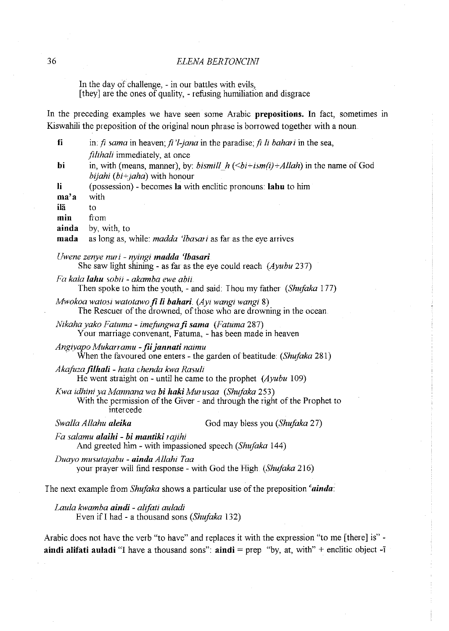### 36 *ELENA BERJONCINI*

In the day of challenge, - in our battles with evils, [they] are the ones of quality, - refusing humiliation and disgrace

In the preceding examples we have seen some Arabic **prepositions.** In fact, sometimes in Kiswahili the preposition of the original noun phrase is borrowed together with a noun

| fi    | in: $\hat{\mu}$ sama in heaven, $\hat{\mu}$ 'l-jana in the paradise; $\hat{\mu}$ li bahari in the sea,          |
|-------|-----------------------------------------------------------------------------------------------------------------|
|       | <i>filihali</i> immediately, at once                                                                            |
| bi    | in, with (means, manner), by: <i>bismill</i> $h(\leq bi+ism(i)+Allah)$ in the name of God                       |
|       | <i>bijahi</i> ( $bi+jaha$ ) with honour                                                                         |
| li    | (possession) - becomes la with enclitic pronouns: lahu to him                                                   |
| ma'a  | with                                                                                                            |
| ilā   | tο                                                                                                              |
| min   | from                                                                                                            |
| ainda | by, with, to                                                                                                    |
| mada  | as long as, while: <i>madda 'lbasari</i> as far as the eye arrives                                              |
|       | Uwene zenye nuri - nyingi madda 'Ibasari<br>She saw light shining - as far as the eye could reach $(Ayubu 237)$ |

Fa *kala lahu sobii* - *akamba ewe* abii

Then spoke to him the youth,- and said: Thou my father *(Shujaka* 177)

*Mwokoa watosi watotawo fi li bahari.* (Ayi wangi wangi 8) The Rescuer of the drowned, of those who are drowning in the ocean

*Nikaha yako Fatuma - imefungwa fi sama (Fatuma 287)* Your marriage convenant, Fatuma, - has been made in heaven

*Angiyapo Mukarramu* -*fii jannati naimu*  When the favoured one enters- the garden of beatitude: *(Shujaka* 281)

*Akafuza filhali - hata chenda kwa Rasuli* He went straight on - until he came to the prophet *(Ayubu 109)* 

*Kwa idhini ya Mannana wa* **hi** *haki Mwusaa (Shujaka* 253) With the permission of the Giver - and through the right of the Prophet to intercede

*Swalla Allahu aleika* God may bless you *(Shujaka* 27)

*Fa salamu alaihi-* **hi** *mantiki rajihi*  And greeted him- with impassioned speech *(Shujaka* 144)

*Duayo musutajabu- ainda Allahi Taa*  your prayer will find response - with God the High *(Shujaka* 216)

The next example from *Shujaka* shows a particular use of the preposition *cainda:* 

*Laula kwamba aindi* - *alifati auladi*  Even ifi had - a thousand sons *(Shujaka* 132)

Arabic does not have the verb "to have" and replaces it with the expression "to me [there] is" **aindi alifati auladi** "I have a thousand sons":  $\text{aindi} = \text{prep}$  "by, at, with" + enclitic object -1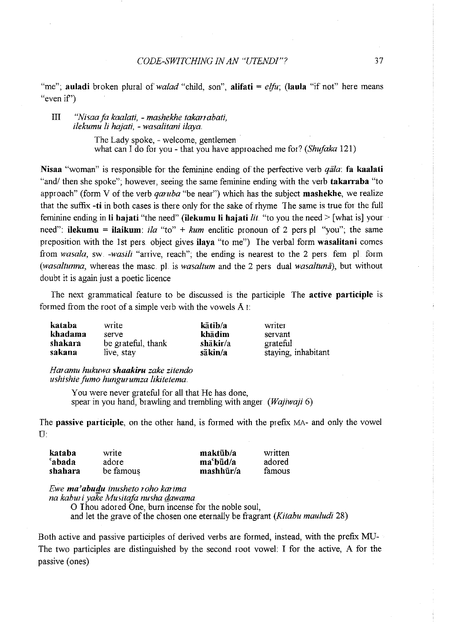"me"; **auladi** broken plural of *walad* "child, son", **alifati** = *elfu*; (laula "if not" here means "even if')

#### III *"Nisaafa kaalati,* - *mashekhe takanabati, ilekumu li hajati,* - *wasalitani ilaya.*

The Lady spoke, - welcome, gentlemen what can I do for you- that you have approached me for? *(Shufaka* 121)

Nisaa "woman" is responsible for the feminine ending of the perfective verb *qala*: fa kaalati "and/ then she spoke"; however, seeing the same feminine ending with the verb **takarraba** "to approach" (form V of the verb *qaruba* "be near") which has the subject mashekhe, we realize that the suffix -ti in both cases is there only for the sake of rhyme The same is true for the full feminine ending in li hajati "the need" (ilekumu li hajati *lit.* "to you the need> [what is] your need": **ilekumu** = **ilaikum**: *ila* "to" + *kum* enclitic pronoun of 2 pers pl "you"; the same preposition with the 1st pers object gives ilaya "to me") The verbal form wasalitani comes from *wasala*, sw *-wasili* "arrive, reach"; the ending is nearest to the 2 pers fem pl form *(wasaltunna, whereas the masc. pl. is <i>wasaltum* and the 2 pers dual *wasaltuna*), but without doubt it is again just a poetic licence

The next grammatical feature to be discussed is the participle The active participle is formed from the root of a simple verb with the vowels A I:

| kataba  | write              | kātib/a  | writer              |
|---------|--------------------|----------|---------------------|
| khadama | serve              | khādim   | servant             |
| shakara | be grateful, thank | shākir/a | grateful            |
| sakana  | live, stay         | säkin/a  | staying, inhabitant |

*Haramu hukuwa shaakiru zake zitendo ushishie fumo hungurumza likitetema.* 

> You were never grateful for all that He has done, spear in you hand, brawling and trembling with anger *(Wajiwaji* 6)

The passive participle, on the other hand, is formed with the prefix MA- and only the vowel  $\mathbf{U}$ :

| kataba             | write     | maktūb/a     | written |
|--------------------|-----------|--------------|---------|
| <sup>c</sup> abada | adore     | $ma^c$ būd/a | adored  |
| shahara            | be famous | $maskhūr/a$  | famous  |

*Ewe ma'abudu inusheto roho karima* 

*na kaburi yake Musitafa nusha @wama* 

0 I hou adored One, burn incense for the noble soul, and let the grave of the chosen one eternally be fragrant *(Kitabu mauludi* 28)

Both active and passive participles of derived verbs are formed, instead, with the prefix MU-The two participles are distinguished by the second root vowel: I for the active, A for the passive (ones)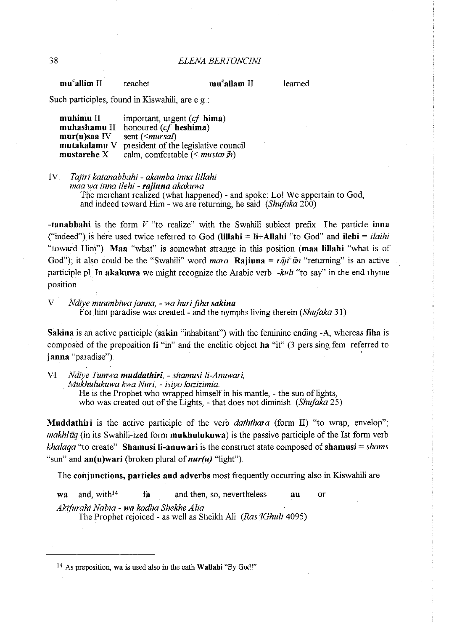| mu <sup>c</sup> allim II<br>mu <sup>c</sup> allam II<br>learned<br>teacher |
|----------------------------------------------------------------------------|
|----------------------------------------------------------------------------|

Such participles, found in Kiswahili, are e g :

| muhimu $\rm II$     | important, urgent $(cf. \text{hima})$       |
|---------------------|---------------------------------------------|
| muhashamu II        | honoured (cf heshima)                       |
| mur(u)saa IV        | sent (< <i>mursal</i> )                     |
| mutakalamu V        | president of the legislative council        |
| mustarehe ${\rm X}$ | calm, comfortable $\leq$ <i>mustar ih</i> ) |

IV *Ta;iri katanabbahi- akamba inna lillahi* 

*maa wa inna ilehi* - *rajiuna akakuwa* 

The merchant realized (what happened)- and spoke: Lol We appertain to God, and indeed toward Him - we are returning, he said *(Shufaka* 200)

**-tanabbahi** is the form *V* "to realize" with the Swahili subject prefix The particle **inna**  ("indeed") is here used twice referred to God **(Iillahi = li+AIIahi** "to God" and **ilehi** = *ilaihi*  "toward Him") **Maa** "what" is somewhat strange in this position ( **maa lillahi** "what is of God"); it also could be the "Swahili" word *mara* **Rajiuna** =  $r \overline{a}$ *ii*  $\overline{u}$  "returning" is an active participle pl In **akakuwa** we might recognize the Arabic verb *-kuli* "to say" in the end rhyme position

V *Ndiye muumbiwa janna,* - *wa huri fiha sakina*  For him paradise was created- and the nymphs living therein *(Shufaka* 31)

**Sakina** is an active participle **(sakin** "inhabitant") with the feminine ending -A, whereas **fiha** is composed of the preposition **fi** "in" and the enclitic object **ha** "it" (3 pers sing fem referred to **j anna** "paradise")

VI *Ndiye Tumwa muddathiri,* - *.shamusi li-Anuwari, Mukhulukuwa kwa Nuri,* - *isiyo kuzizimia*  He is the Prophet who wrapped himself in his mantle, - the sun of lights, who was created out of the Lights, - that does not diminish *(Shufaka 25)* 

**Muddathiri** is the active participle of the verb *daththara* (form II) "to wrap, envelop"; *makhlūq* (in its Swahili-ized form **mukhulukuwa**) is the passive participle of the Ist form verb *khalaqa* "to create" **Shamusi li-anuwari** is the construct state composed of **shamusi** = *shams*  "sun" and **an(u)wari** (broken plural of *nur(u)* "light").

I he **conjunctions, particles and adverbs** most frequently occuning also in Kiswahili are

**wa** and, with14 **fa** and then, so, nevertheless **au** or *Akifurahi Nabia* - *wa kadha Shekhe Alia*  The Prophet rejoiced - as well as Sheikh Ali *(Ras '/Ghuli* 4095)

<sup>14</sup> As preposition, wa is used also in the oath **Wallahi** "By God!"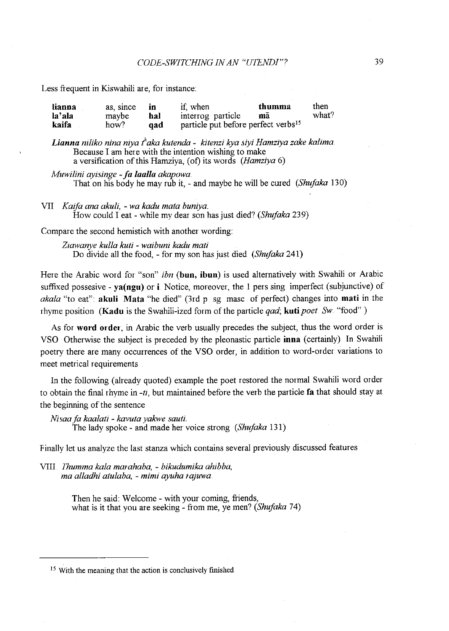Less frequent in Kiswahili are, for instance:

| lianna | as since | m   | if, when                                        | thumma | then  |
|--------|----------|-----|-------------------------------------------------|--------|-------|
| la'ala | maybe    | hal | interrog particle                               | ma     | what? |
| kaifa  | how?     | aad | particle put before perfect verbs <sup>15</sup> |        |       |

*Lianna niliko nina niya thaka kutenda- kitenzi kya siyi Hamziya zake kalima.*  Because I am here with the intention wishing to make a versification of this Hamziya, (of) its words *(Hamziya* 6)

*Muwilini ayisinge -fa laalla akapowa.*  That on his body he may rub it, - and maybe he will be cured *(Shufaka* 130)

VII *Kaifa ana akuli,* - *wa kadu mata buniya.*  How could I eat- while my dear son has just died? *(Shufaka* 239)

Compare the second hemistich with another wording:

*Zzawanye kulla kuti* - *waibuni kadu mati*  Do divide all the food, - for my son has just died *(Shujaka* 241)

Here the Arabic word for "son" *ibn* **(bun, ibun)** is used alternatively with Swahili or Arabic suffixed possesive- **ya(ngu) or i** Notice, moreover, the I pers sing imperfect (subjunctive) of *aka/a* "to eat": **akuli Mata** "he died" (3rd p sg masc of perfect) changes into **mati** in the rhyme position **(Kadu** is the Swahili-ized form of the particle *qad;* **kuti** *poet Sw* "food" )

As for **word order,** in Arabic the verb usually precedes the subject, thus the word order is VSO Otherwise the subject is preceded by the pleonastic particle **inn** a (certainly) In Swahili poetry there are many occurrences of the VSO order, in addition to word-order variations to meet metrical requirements

In the following (already quoted) example the poet restored the normal Swahili word order to obtain the final rhyme in -ti, but maintained before the verb the particle fa that should stay at the beginning of the sentence

*Nisaa fa kaalati - kavuta yakwe sauti.* The lady spoke - and made her voice strong *(Shufaka* 131)

Finally let us analyze the last stanza which contains several previously discussed features

**V1II** *Ihumma kala marahaba,* **-** *bikudumika ahibba, ma alladhi atulaba,* - *mimi ayuha wjuwa* 

> Then he said: Welcome- with your coming, friends, what is it that you are seeking - from me, ve men? *(Shufaka* 74)

<sup>15</sup> With the meaning that the action is conclusively finished